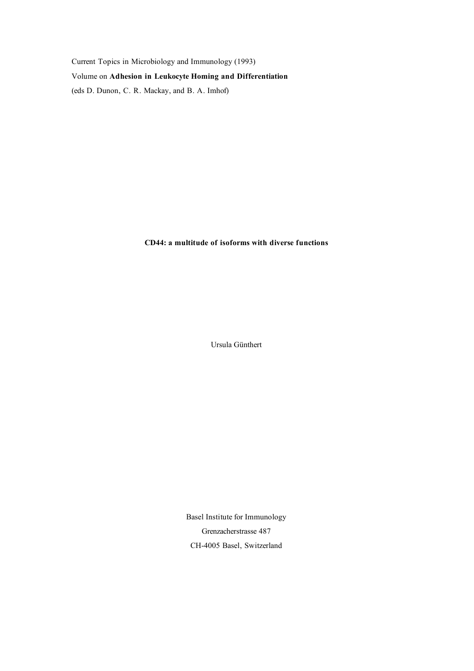Current Topics in Microbiology and Immunology (1993) Volume on **Adhesion in Leukocyte Homing and Differentiation** (eds D. Dunon, C. R. Mackay, and B. A. Imhof)

**CD44: a multitude of isoforms with diverse functions**

Ursula Günthert

Basel Institute for Immunology Grenzacherstrasse 487 CH-4005 Basel, Switzerland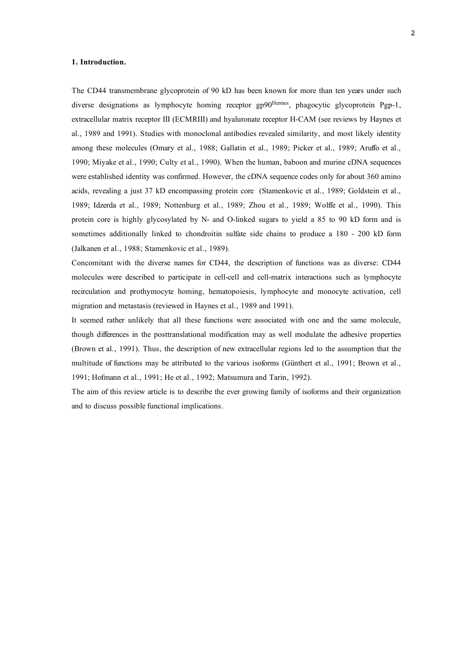## **1. Introduction.**

The CD44 transmembrane glycoprotein of 90 kD has been known for more than ten years under such diverse designations as lymphocyte homing receptor gp90<sup>Hermes</sup>, phagocytic glycoprotein Pgp-1, extracellular matrix receptor III (ECMRIII) and hyaluronate receptor H-CAM (see reviews by Haynes et al., 1989 and 1991). Studies with monoclonal antibodies revealed similarity, and most likely identity among these molecules (Omary et al., 1988; Gallatin et al., 1989; Picker et al., 1989; Aruffo et al., 1990; Miyake et al., 1990; Culty et al., 1990). When the human, baboon and murine cDNA sequences were established identity was confirmed. However, the cDNA sequence codes only for about 360 amino acids, revealing a just 37 kD encompassing protein core (Stamenkovic et al., 1989; Goldstein et al., 1989; Idzerda et al., 1989; Nottenburg et al., 1989; Zhou et al., 1989; Wolffe et al., 1990). This protein core is highly glycosylated by N- and O-linked sugars to yield a 85 to 90 kD form and is sometimes additionally linked to chondroitin sulfate side chains to produce a 180 - 200 kD form (Jalkanen et al., 1988; Stamenkovic et al., 1989).

Concomitant with the diverse names for CD44, the description of functions was as diverse: CD44 molecules were described to participate in cell-cell and cell-matrix interactions such as lymphocyte recirculation and prothymocyte homing, hematopoiesis, lymphocyte and monocyte activation, cell migration and metastasis (reviewed in Haynes et al., 1989 and 1991).

It seemed rather unlikely that all these functions were associated with one and the same molecule, though differences in the posttranslational modification may as well modulate the adhesive properties (Brown et al., 1991). Thus, the description of new extracellular regions led to the assumption that the multitude of functions may be attributed to the various isoforms (Günthert et al., 1991; Brown et al., 1991; Hofmann et al., 1991; He et al., 1992; Matsumura and Tarin, 1992).

The aim of this review article is to describe the ever growing family of isoforms and their organization and to discuss possible functional implications.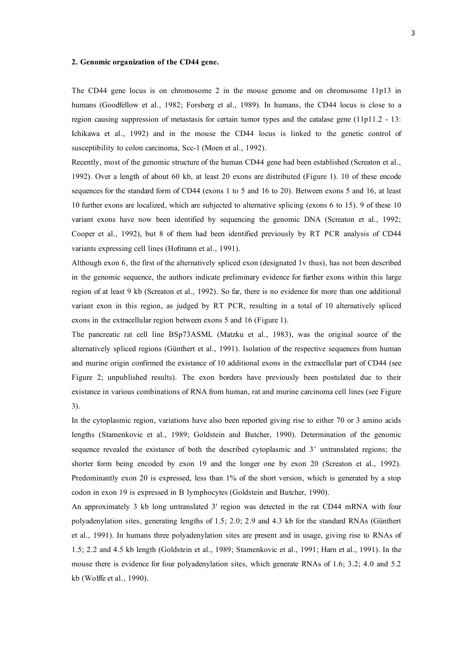#### **2. Genomic organization of the CD44 gene.**

The CD44 gene locus is on chromosome 2 in the mouse genome and on chromosome 11p13 in humans (Goodfellow et al., 1982; Forsberg et al., 1989). In humans, the CD44 locus is close to a region causing suppression of metastasis for certain tumor types and the catalase gene (11p11.2 - 13: Ichikawa et al., 1992) and in the mouse the CD44 locus is linked to the genetic control of susceptibility to colon carcinoma, Scc-1 (Moen et al., 1992).

Recently, most of the genomic structure of the human CD44 gene had been established (Screaton et al., 1992). Over a length of about 60 kb, at least 20 exons are distributed (Figure 1). 10 of these encode sequences for the standard form of CD44 (exons 1 to 5 and 16 to 20). Between exons 5 and 16, at least 10 further exons are localized, which are subjected to alternative splicing (exons 6 to 15). 9 of these 10 variant exons have now been identified by sequencing the genomic DNA (Screaton et al., 1992; Cooper et al., 1992), but 8 of them had been identified previously by RT PCR analysis of CD44 variants expressing cell lines (Hofmann et al., 1991).

Although exon 6, the first of the alternatively spliced exon (designated 1v thus), has not been described in the genomic sequence, the authors indicate preliminary evidence for further exons within this large region of at least 9 kb (Screaton et al., 1992). So far, there is no evidence for more than one additional variant exon in this region, as judged by RT PCR, resulting in a total of 10 alternatively spliced exons in the extracellular region between exons 5 and 16 (Figure 1).

The pancreatic rat cell line BSp73ASML (Matzku et al., 1983), was the original source of the alternatively spliced regions (Günthert et al., 1991). Isolation of the respective sequences from human and murine origin confirmed the existance of 10 additional exons in the extracellular part of CD44 (see Figure 2; unpublished results). The exon borders have previously been postulated due to their existance in various combinations of RNA from human, rat and murine carcinoma cell lines (see Figure 3).

In the cytoplasmic region, variations have also been reported giving rise to either 70 or 3 amino acids lengths (Stamenkovic et al., 1989; Goldstein and Butcher, 1990). Determination of the genomic sequence revealed the existance of both the described cytoplasmic and 3' untranslated regions; the shorter form being encoded by exon 19 and the longer one by exon 20 (Screaton et al., 1992). Predominantly exon 20 is expressed, less than 1% of the short version, which is generated by a stop codon in exon 19 is expressed in B lymphocytes (Goldstein and Butcher, 1990).

An approximately 3 kb long untranslated 3' region was detected in the rat CD44 mRNA with four polyadenylation sites, generating lengths of 1.5; 2.0; 2.9 and 4.3 kb for the standard RNAs (Günthert et al., 1991). In humans three polyadenylation sites are present and in usage, giving rise to RNAs of 1.5; 2.2 and 4.5 kb length (Goldstein et al., 1989; Stamenkovic et al., 1991; Harn et al., 1991). In the mouse there is evidence for four polyadenylation sites, which generate RNAs of 1.6; 3.2; 4.0 and 5.2 kb (Wolffe et al., 1990).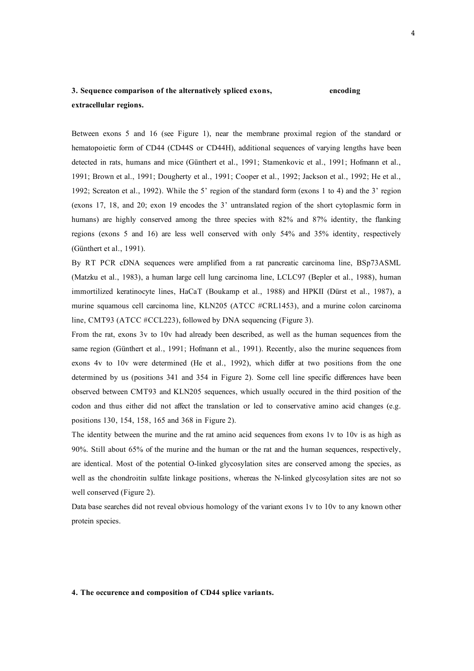# **3. Sequence comparison of the alternatively spliced exons, encoding extracellular regions.**

Between exons 5 and 16 (see Figure 1), near the membrane proximal region of the standard or hematopoietic form of CD44 (CD44S or CD44H), additional sequences of varying lengths have been detected in rats, humans and mice (Günthert et al., 1991; Stamenkovic et al., 1991; Hofmann et al., 1991; Brown et al., 1991; Dougherty et al., 1991; Cooper et al., 1992; Jackson et al., 1992; He et al., 1992; Screaton et al., 1992). While the 5' region of the standard form (exons 1 to 4) and the 3' region (exons 17, 18, and 20; exon 19 encodes the 3' untranslated region of the short cytoplasmic form in humans) are highly conserved among the three species with 82% and 87% identity, the flanking regions (exons 5 and 16) are less well conserved with only 54% and 35% identity, respectively (Günthert et al., 1991).

By RT PCR cDNA sequences were amplified from a rat pancreatic carcinoma line, BSp73ASML (Matzku et al., 1983), a human large cell lung carcinoma line, LCLC97 (Bepler et al., 1988), human immortilized keratinocyte lines, HaCaT (Boukamp et al., 1988) and HPKII (Dürst et al., 1987), a murine squamous cell carcinoma line, KLN205 (ATCC #CRL1453), and a murine colon carcinoma line, CMT93 (ATCC #CCL223), followed by DNA sequencing (Figure 3).

From the rat, exons 3v to 10v had already been described, as well as the human sequences from the same region (Günthert et al., 1991; Hofmann et al., 1991). Recently, also the murine sequences from exons 4v to 10v were determined (He et al., 1992), which differ at two positions from the one determined by us (positions 341 and 354 in Figure 2). Some cell line specific differences have been observed between CMT93 and KLN205 sequences, which usually occured in the third position of the codon and thus either did not affect the translation or led to conservative amino acid changes (e.g. positions 130, 154, 158, 165 and 368 in Figure 2).

The identity between the murine and the rat amino acid sequences from exons 1v to 10v is as high as 90%. Still about 65% of the murine and the human or the rat and the human sequences, respectively, are identical. Most of the potential O-linked glycosylation sites are conserved among the species, as well as the chondroitin sulfate linkage positions, whereas the N-linked glycosylation sites are not so well conserved (Figure 2).

Data base searches did not reveal obvious homology of the variant exons 1v to 10v to any known other protein species.

#### **4. The occurence and composition of CD44 splice variants.**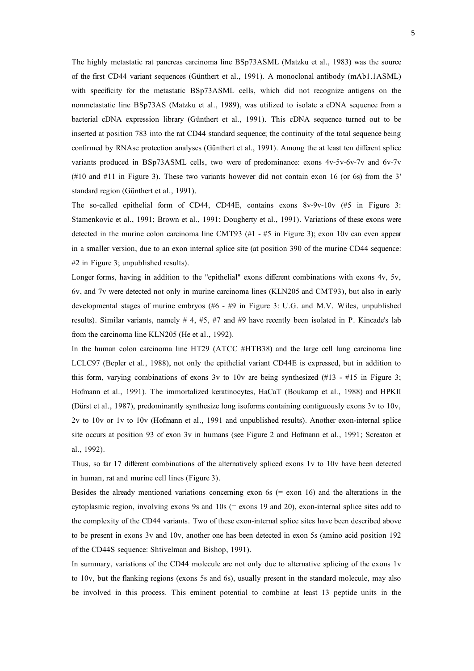The highly metastatic rat pancreas carcinoma line BSp73ASML (Matzku et al., 1983) was the source of the first CD44 variant sequences (Günthert et al., 1991). A monoclonal antibody (mAb1.1ASML) with specificity for the metastatic BSp73ASML cells, which did not recognize antigens on the nonmetastatic line BSp73AS (Matzku et al., 1989), was utilized to isolate a cDNA sequence from a bacterial cDNA expression library (Günthert et al., 1991). This cDNA sequence turned out to be inserted at position 783 into the rat CD44 standard sequence; the continuity of the total sequence being confirmed by RNAse protection analyses (Günthert et al., 1991). Among the at least ten different splice variants produced in BSp73ASML cells, two were of predominance: exons 4v-5v-6v-7v and 6v-7v (#10 and #11 in Figure 3). These two variants however did not contain exon 16 (or 6s) from the 3' standard region (Günthert et al., 1991).

The so-called epithelial form of CD44, CD44E, contains exons 8v-9v-10v (#5 in Figure 3: Stamenkovic et al., 1991; Brown et al., 1991; Dougherty et al., 1991). Variations of these exons were detected in the murine colon carcinoma line CMT93  $(\#1 - \#5)$  in Figure 3); exon 10y can even appear in a smaller version, due to an exon internal splice site (at position 390 of the murine CD44 sequence: #2 in Figure 3; unpublished results).

Longer forms, having in addition to the "epithelial" exons different combinations with exons 4v, 5v, 6v, and 7v were detected not only in murine carcinoma lines (KLN205 and CMT93), but also in early developmental stages of murine embryos (#6 - #9 in Figure 3: U.G. and M.V. Wiles, unpublished results). Similar variants, namely  $# 4, #5, #7$  and  $#9$  have recently been isolated in P. Kincade's lab from the carcinoma line KLN205 (He et al., 1992).

In the human colon carcinoma line HT29 (ATCC #HTB38) and the large cell lung carcinoma line LCLC97 (Bepler et al., 1988), not only the epithelial variant CD44E is expressed, but in addition to this form, varying combinations of exons 3v to 10v are being synthesized  $(\text{\#13 -#15 in Figure 3})$ ; Hofmann et al., 1991). The immortalized keratinocytes, HaCaT (Boukamp et al., 1988) and HPKII (Dürst et al., 1987), predominantly synthesize long isoforms containing contiguously exons 3v to 10v, 2v to 10v or 1v to 10v (Hofmann et al., 1991 and unpublished results). Another exon-internal splice site occurs at position 93 of exon 3v in humans (see Figure 2 and Hofmann et al., 1991; Screaton et al., 1992).

Thus, so far 17 different combinations of the alternatively spliced exons 1v to 10v have been detected in human, rat and murine cell lines (Figure 3).

Besides the already mentioned variations concerning exon  $6s$  (= exon 16) and the alterations in the cytoplasmic region, involving exons 9s and 10s (= exons 19 and 20), exon-internal splice sites add to the complexity of the CD44 variants. Two of these exon-internal splice sites have been described above to be present in exons 3v and 10v, another one has been detected in exon 5s (amino acid position 192 of the CD44S sequence: Shtivelman and Bishop, 1991).

In summary, variations of the CD44 molecule are not only due to alternative splicing of the exons 1v to 10v, but the flanking regions (exons 5s and 6s), usually present in the standard molecule, may also be involved in this process. This eminent potential to combine at least 13 peptide units in the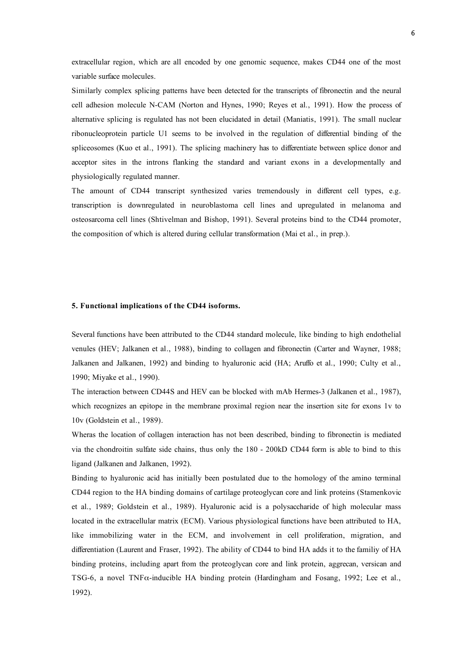extracellular region, which are all encoded by one genomic sequence, makes CD44 one of the most variable surface molecules.

Similarly complex splicing patterns have been detected for the transcripts of fibronectin and the neural cell adhesion molecule N-CAM (Norton and Hynes, 1990; Reyes et al., 1991). How the process of alternative splicing is regulated has not been elucidated in detail (Maniatis, 1991). The small nuclear ribonucleoprotein particle U1 seems to be involved in the regulation of differential binding of the spliceosomes (Kuo et al., 1991). The splicing machinery has to differentiate between splice donor and acceptor sites in the introns flanking the standard and variant exons in a developmentally and physiologically regulated manner.

The amount of CD44 transcript synthesized varies tremendously in different cell types, e.g. transcription is downregulated in neuroblastoma cell lines and upregulated in melanoma and osteosarcoma cell lines (Shtivelman and Bishop, 1991). Several proteins bind to the CD44 promoter, the composition of which is altered during cellular transformation (Mai et al., in prep.).

#### **5. Functional implications of the CD44 isoforms.**

Several functions have been attributed to the CD44 standard molecule, like binding to high endothelial venules (HEV; Jalkanen et al., 1988), binding to collagen and fibronectin (Carter and Wayner, 1988; Jalkanen and Jalkanen, 1992) and binding to hyaluronic acid (HA; Aruffo et al., 1990; Culty et al., 1990; Miyake et al., 1990).

The interaction between CD44S and HEV can be blocked with mAb Hermes-3 (Jalkanen et al., 1987), which recognizes an epitope in the membrane proximal region near the insertion site for exons 1y to 10v (Goldstein et al., 1989).

Wheras the location of collagen interaction has not been described, binding to fibronectin is mediated via the chondroitin sulfate side chains, thus only the 180 - 200kD CD44 form is able to bind to this ligand (Jalkanen and Jalkanen, 1992).

Binding to hyaluronic acid has initially been postulated due to the homology of the amino terminal CD44 region to the HA binding domains of cartilage proteoglycan core and link proteins (Stamenkovic et al., 1989; Goldstein et al., 1989). Hyaluronic acid is a polysaccharide of high molecular mass located in the extracellular matrix (ECM). Various physiological functions have been attributed to HA, like immobilizing water in the ECM, and involvement in cell proliferation, migration, and differentiation (Laurent and Fraser, 1992). The ability of CD44 to bind HA adds it to the familiy of HA binding proteins, including apart from the proteoglycan core and link protein, aggrecan, versican and TSG-6, a novel TNFα-inducible HA binding protein (Hardingham and Fosang, 1992; Lee et al., 1992).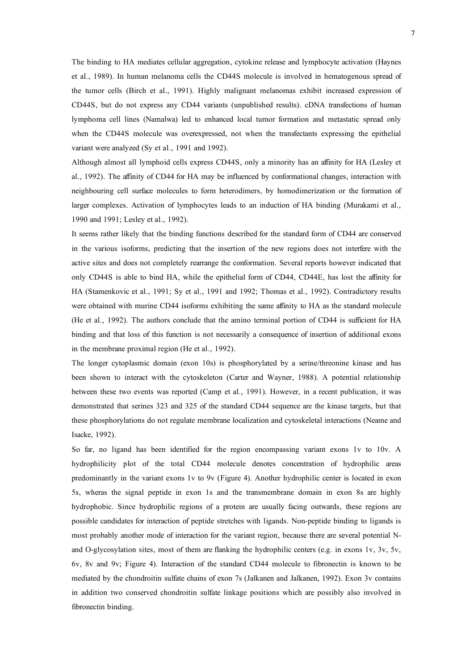The binding to HA mediates cellular aggregation, cytokine release and lymphocyte activation (Haynes et al., 1989). In human melanoma cells the CD44S molecule is involved in hematogenous spread of the tumor cells (Birch et al., 1991). Highly malignant melanomas exhibit increased expression of CD44S, but do not express any CD44 variants (unpublished results). cDNA transfections of human lymphoma cell lines (Namalwa) led to enhanced local tumor formation and metastatic spread only when the CD44S molecule was overexpressed, not when the transfectants expressing the epithelial variant were analyzed (Sy et al., 1991 and 1992).

Although almost all lymphoid cells express CD44S, only a minority has an affinity for HA (Lesley et al., 1992). The affinity of CD44 for HA may be influenced by conformational changes, interaction with neighbouring cell surface molecules to form heterodimers, by homodimerization or the formation of larger complexes. Activation of lymphocytes leads to an induction of HA binding (Murakami et al., 1990 and 1991; Lesley et al., 1992).

It seems rather likely that the binding functions described for the standard form of CD44 are conserved in the various isoforms, predicting that the insertion of the new regions does not interfere with the active sites and does not completely rearrange the conformation. Several reports however indicated that only CD44S is able to bind HA, while the epithelial form of CD44, CD44E, has lost the affinity for HA (Stamenkovic et al., 1991; Sy et al., 1991 and 1992; Thomas et al., 1992). Contradictory results were obtained with murine CD44 isoforms exhibiting the same affinity to HA as the standard molecule (He et al., 1992). The authors conclude that the amino terminal portion of CD44 is sufficient for HA binding and that loss of this function is not necessarily a consequence of insertion of additional exons in the membrane proximal region (He et al., 1992).

The longer cytoplasmic domain (exon 10s) is phosphorylated by a serine/threonine kinase and has been shown to interact with the cytoskeleton (Carter and Wayner, 1988). A potential relationship between these two events was reported (Camp et al., 1991). However, in a recent publication, it was demonstrated that serines 323 and 325 of the standard CD44 sequence are the kinase targets, but that these phosphorylations do not regulate membrane localization and cytoskeletal interactions (Neame and Isacke, 1992).

So far, no ligand has been identified for the region encompassing variant exons 1v to 10v. A hydrophilicity plot of the total CD44 molecule denotes concentration of hydrophilic areas predominantly in the variant exons 1v to 9v (Figure 4). Another hydrophilic center is located in exon 5s, wheras the signal peptide in exon 1s and the transmembrane domain in exon 8s are highly hydrophobic. Since hydrophilic regions of a protein are usually facing outwards, these regions are possible candidates for interaction of peptide stretches with ligands. Non-peptide binding to ligands is most probably another mode of interaction for the variant region, because there are several potential Nand O-glycosylation sites, most of them are flanking the hydrophilic centers (e.g. in exons 1v, 3v, 5v, 6v, 8v and 9v; Figure 4). Interaction of the standard CD44 molecule to fibronectin is known to be mediated by the chondroitin sulfate chains of exon 7s (Jalkanen and Jalkanen, 1992). Exon 3v contains in addition two conserved chondroitin sulfate linkage positions which are possibly also involved in fibronectin binding.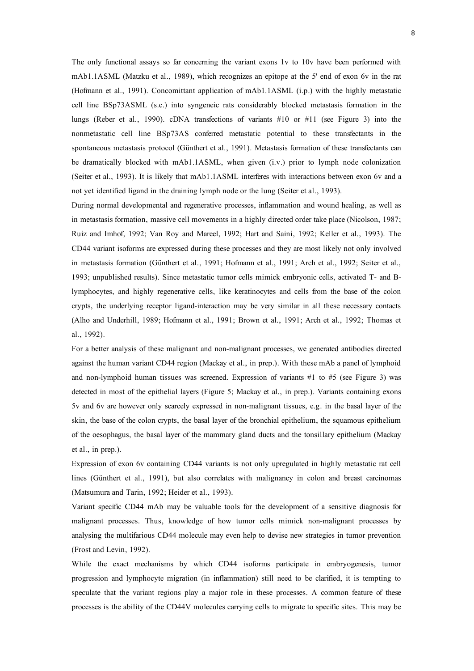The only functional assays so far concerning the variant exons 1v to 10v have been performed with mAb1.1ASML (Matzku et al., 1989), which recognizes an epitope at the 5' end of exon 6v in the rat (Hofmann et al., 1991). Concomittant application of mAb1.1ASML (i.p.) with the highly metastatic cell line BSp73ASML (s.c.) into syngeneic rats considerably blocked metastasis formation in the lungs (Reber et al., 1990). cDNA transfections of variants #10 or #11 (see Figure 3) into the nonmetastatic cell line BSp73AS conferred metastatic potential to these transfectants in the spontaneous metastasis protocol (Günthert et al., 1991). Metastasis formation of these transfectants can be dramatically blocked with mAb1.1ASML, when given (i.v.) prior to lymph node colonization (Seiter et al., 1993). It is likely that mAb1.1ASML interferes with interactions between exon 6v and a not yet identified ligand in the draining lymph node or the lung (Seiter et al., 1993).

During normal developmental and regenerative processes, inflammation and wound healing, as well as in metastasis formation, massive cell movements in a highly directed order take place (Nicolson, 1987; Ruiz and Imhof, 1992; Van Roy and Mareel, 1992; Hart and Saini, 1992; Keller et al., 1993). The CD44 variant isoforms are expressed during these processes and they are most likely not only involved in metastasis formation (Günthert et al., 1991; Hofmann et al., 1991; Arch et al., 1992; Seiter et al., 1993; unpublished results). Since metastatic tumor cells mimick embryonic cells, activated T- and Blymphocytes, and highly regenerative cells, like keratinocytes and cells from the base of the colon crypts, the underlying receptor ligand-interaction may be very similar in all these necessary contacts (Alho and Underhill, 1989; Hofmann et al., 1991; Brown et al., 1991; Arch et al., 1992; Thomas et al., 1992).

For a better analysis of these malignant and non-malignant processes, we generated antibodies directed against the human variant CD44 region (Mackay et al., in prep.). With these mAb a panel of lymphoid and non-lymphoid human tissues was screened. Expression of variants  $#1$  to  $#5$  (see Figure 3) was detected in most of the epithelial layers (Figure 5; Mackay et al., in prep.). Variants containing exons 5v and 6v are however only scarcely expressed in non-malignant tissues, e.g. in the basal layer of the skin, the base of the colon crypts, the basal layer of the bronchial epithelium, the squamous epithelium of the oesophagus, the basal layer of the mammary gland ducts and the tonsillary epithelium (Mackay et al., in prep.).

Expression of exon 6v containing CD44 variants is not only upregulated in highly metastatic rat cell lines (Günthert et al., 1991), but also correlates with malignancy in colon and breast carcinomas (Matsumura and Tarin, 1992; Heider et al., 1993).

Variant specific CD44 mAb may be valuable tools for the development of a sensitive diagnosis for malignant processes. Thus, knowledge of how tumor cells mimick non-malignant processes by analysing the multifarious CD44 molecule may even help to devise new strategies in tumor prevention (Frost and Levin, 1992).

While the exact mechanisms by which CD44 isoforms participate in embryogenesis, tumor progression and lymphocyte migration (in inflammation) still need to be clarified, it is tempting to speculate that the variant regions play a major role in these processes. A common feature of these processes is the ability of the CD44V molecules carrying cells to migrate to specific sites. This may be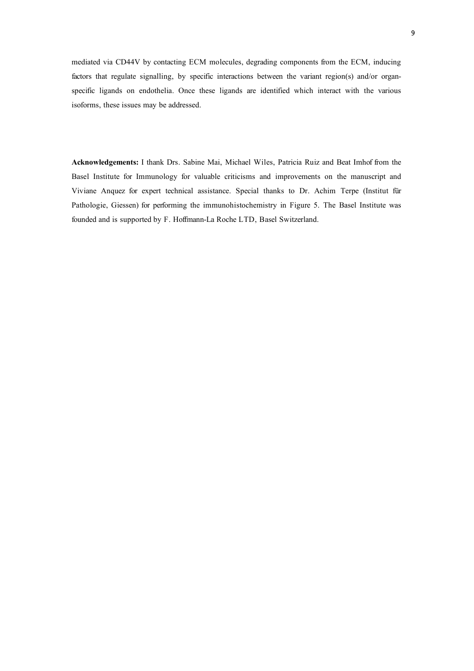mediated via CD44V by contacting ECM molecules, degrading components from the ECM, inducing factors that regulate signalling, by specific interactions between the variant region(s) and/or organspecific ligands on endothelia. Once these ligands are identified which interact with the various isoforms, these issues may be addressed.

**Acknowledgements:** I thank Drs. Sabine Mai, Michael Wiles, Patricia Ruiz and Beat Imhof from the Basel Institute for Immunology for valuable criticisms and improvements on the manuscript and Viviane Anquez for expert technical assistance. Special thanks to Dr. Achim Terpe (Institut für Pathologie, Giessen) for performing the immunohistochemistry in Figure 5. The Basel Institute was founded and is supported by F. Hoffmann-La Roche LTD, Basel Switzerland.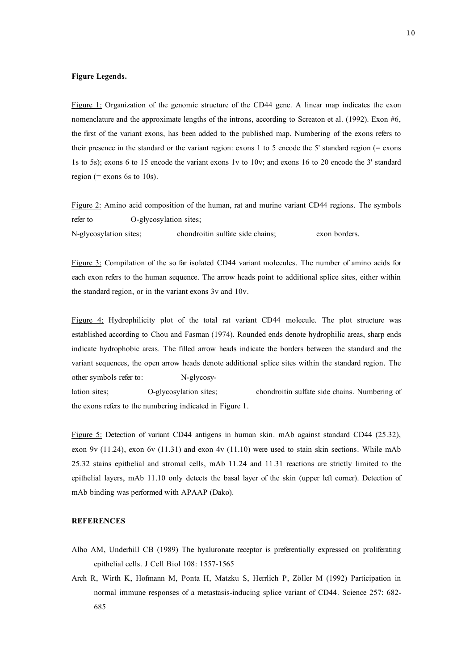# **Figure Legends.**

Figure 1: Organization of the genomic structure of the CD44 gene. A linear map indicates the exon nomenclature and the approximate lengths of the introns, according to Screaton et al. (1992). Exon #6, the first of the variant exons, has been added to the published map. Numbering of the exons refers to their presence in the standard or the variant region: exons 1 to 5 encode the 5' standard region (= exons 1s to 5s); exons 6 to 15 encode the variant exons 1v to 10v; and exons 16 to 20 encode the 3' standard region (= exons 6s to 10s).

Figure 2: Amino acid composition of the human, rat and murine variant CD44 regions. The symbols refer to O-glycosylation sites; N-glycosylation sites; chondroitin sulfate side chains; exon borders.

Figure 3: Compilation of the so far isolated CD44 variant molecules. The number of amino acids for each exon refers to the human sequence. The arrow heads point to additional splice sites, either within the standard region, or in the variant exons 3v and 10v.

Figure 4: Hydrophilicity plot of the total rat variant CD44 molecule. The plot structure was established according to Chou and Fasman (1974). Rounded ends denote hydrophilic areas, sharp ends indicate hydrophobic areas. The filled arrow heads indicate the borders between the standard and the variant sequences, the open arrow heads denote additional splice sites within the standard region. The other symbols refer to: N-glycosylation sites; O-glycosylation sites; chondroitin sulfate side chains. Numbering of the exons refers to the numbering indicated in Figure 1.

Figure 5: Detection of variant CD44 antigens in human skin. mAb against standard CD44 (25.32), exon 9v (11.24), exon 6v (11.31) and exon 4v (11.10) were used to stain skin sections. While mAb 25.32 stains epithelial and stromal cells, mAb 11.24 and 11.31 reactions are strictly limited to the epithelial layers, mAb 11.10 only detects the basal layer of the skin (upper left corner). Detection of mAb binding was performed with APAAP (Dako).

## **REFERENCES**

- Alho AM, Underhill CB (1989) The hyaluronate receptor is preferentially expressed on proliferating epithelial cells. J Cell Biol 108: 1557-1565
- Arch R, Wirth K, Hofmann M, Ponta H, Matzku S, Herrlich P, Zöller M (1992) Participation in normal immune responses of a metastasis-inducing splice variant of CD44. Science 257: 682- 685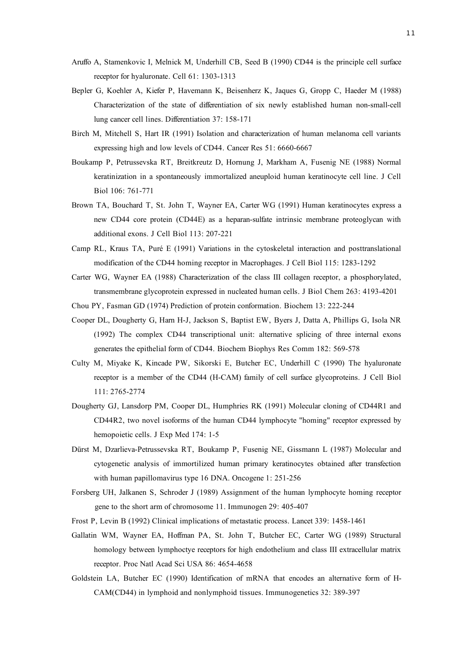- Aruffo A, Stamenkovic I, Melnick M, Underhill CB, Seed B (1990) CD44 is the principle cell surface receptor for hyaluronate. Cell 61: 1303-1313
- Bepler G, Koehler A, Kiefer P, Havemann K, Beisenherz K, Jaques G, Gropp C, Haeder M (1988) Characterization of the state of differentiation of six newly established human non-small-cell lung cancer cell lines. Differentiation 37: 158-171
- Birch M, Mitchell S, Hart IR (1991) Isolation and characterization of human melanoma cell variants expressing high and low levels of CD44. Cancer Res 51: 6660-6667
- Boukamp P, Petrussevska RT, Breitkreutz D, Hornung J, Markham A, Fusenig NE (1988) Normal keratinization in a spontaneously immortalized aneuploid human keratinocyte cell line. J Cell Biol 106: 761-771
- Brown TA, Bouchard T, St. John T, Wayner EA, Carter WG (1991) Human keratinocytes express a new CD44 core protein (CD44E) as a heparan-sulfate intrinsic membrane proteoglycan with additional exons. J Cell Biol 113: 207-221
- Camp RL, Kraus TA, Puré E (1991) Variations in the cytoskeletal interaction and posttranslational modification of the CD44 homing receptor in Macrophages. J Cell Biol 115: 1283-1292
- Carter WG, Wayner EA (1988) Characterization of the class III collagen receptor, a phosphorylated, transmembrane glycoprotein expressed in nucleated human cells. J Biol Chem 263: 4193-4201
- Chou PY, Fasman GD (1974) Prediction of protein conformation. Biochem 13: 222-244
- Cooper DL, Dougherty G, Harn H-J, Jackson S, Baptist EW, Byers J, Datta A, Phillips G, Isola NR (1992) The complex CD44 transcriptional unit: alternative splicing of three internal exons generates the epithelial form of CD44. Biochem Biophys Res Comm 182: 569-578
- Culty M, Miyake K, Kincade PW, Sikorski E, Butcher EC, Underhill C (1990) The hyaluronate receptor is a member of the CD44 (H-CAM) family of cell surface glycoproteins. J Cell Biol 111: 2765-2774
- Dougherty GJ, Lansdorp PM, Cooper DL, Humphries RK (1991) Molecular cloning of CD44R1 and CD44R2, two novel isoforms of the human CD44 lymphocyte "homing" receptor expressed by hemopoietic cells. J Exp Med 174: 1-5
- Dürst M, Dzarlieva-Petrussevska RT, Boukamp P, Fusenig NE, Gissmann L (1987) Molecular and cytogenetic analysis of immortilized human primary keratinocytes obtained after transfection with human papillomavirus type 16 DNA. Oncogene 1: 251-256
- Forsberg UH, Jalkanen S, Schroder J (1989) Assignment of the human lymphocyte homing receptor gene to the short arm of chromosome 11. Immunogen 29: 405-407
- Frost P, Levin B (1992) Clinical implications of metastatic process. Lancet 339: 1458-1461
- Gallatin WM, Wayner EA, Hoffman PA, St. John T, Butcher EC, Carter WG (1989) Structural homology between lymphoctye receptors for high endothelium and class III extracellular matrix receptor. Proc Natl Acad Sci USA 86: 4654-4658
- Goldstein LA, Butcher EC (1990) Identification of mRNA that encodes an alternative form of H-CAM(CD44) in lymphoid and nonlymphoid tissues. Immunogenetics 32: 389-397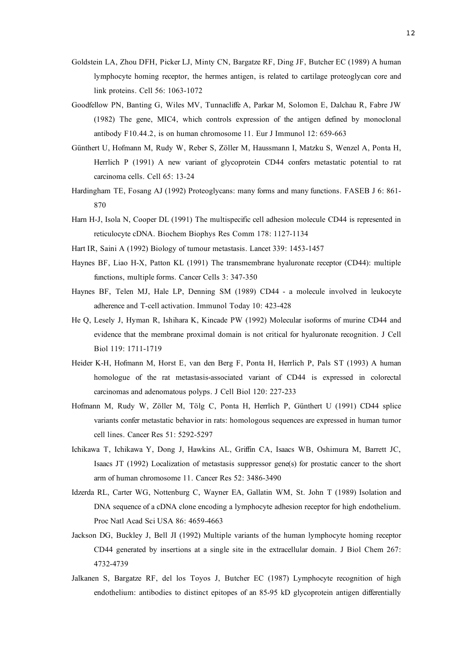- Goldstein LA, Zhou DFH, Picker LJ, Minty CN, Bargatze RF, Ding JF, Butcher EC (1989) A human lymphocyte homing receptor, the hermes antigen, is related to cartilage proteoglycan core and link proteins. Cell 56: 1063-1072
- Goodfellow PN, Banting G, Wiles MV, Tunnacliffe A, Parkar M, Solomon E, Dalchau R, Fabre JW (1982) The gene, MIC4, which controls expression of the antigen defined by monoclonal antibody F10.44.2, is on human chromosome 11. Eur J Immunol 12: 659-663
- Günthert U, Hofmann M, Rudy W, Reber S, Zöller M, Haussmann I, Matzku S, Wenzel A, Ponta H, Herrlich P (1991) A new variant of glycoprotein CD44 confers metastatic potential to rat carcinoma cells. Cell 65: 13-24
- Hardingham TE, Fosang AJ (1992) Proteoglycans: many forms and many functions. FASEB J 6: 861- 870
- Harn H-J, Isola N, Cooper DL (1991) The multispecific cell adhesion molecule CD44 is represented in reticulocyte cDNA. Biochem Biophys Res Comm 178: 1127-1134
- Hart IR, Saini A (1992) Biology of tumour metastasis. Lancet 339: 1453-1457
- Haynes BF, Liao H-X, Patton KL (1991) The transmembrane hyaluronate receptor (CD44): multiple functions, multiple forms. Cancer Cells 3: 347-350
- Haynes BF, Telen MJ, Hale LP, Denning SM (1989) CD44 a molecule involved in leukocyte adherence and T-cell activation. Immunol Today 10: 423-428
- He Q, Lesely J, Hyman R, Ishihara K, Kincade PW (1992) Molecular isoforms of murine CD44 and evidence that the membrane proximal domain is not critical for hyaluronate recognition. J Cell Biol 119: 1711-1719
- Heider K-H, Hofmann M, Horst E, van den Berg F, Ponta H, Herrlich P, Pals ST (1993) A human homologue of the rat metastasis-associated variant of CD44 is expressed in colorectal carcinomas and adenomatous polyps. J Cell Biol 120: 227-233
- Hofmann M, Rudy W, Zöller M, Tölg C, Ponta H, Herrlich P, Günthert U (1991) CD44 splice variants confer metastatic behavior in rats: homologous sequences are expressed in human tumor cell lines. Cancer Res 51: 5292-5297
- Ichikawa T, Ichikawa Y, Dong J, Hawkins AL, Griffin CA, Isaacs WB, Oshimura M, Barrett JC, Isaacs JT (1992) Localization of metastasis suppressor gene(s) for prostatic cancer to the short arm of human chromosome 11. Cancer Res 52: 3486-3490
- Idzerda RL, Carter WG, Nottenburg C, Wayner EA, Gallatin WM, St. John T (1989) Isolation and DNA sequence of a cDNA clone encoding a lymphocyte adhesion receptor for high endothelium. Proc Natl Acad Sci USA 86: 4659-4663
- Jackson DG, Buckley J, Bell JI (1992) Multiple variants of the human lymphocyte homing receptor CD44 generated by insertions at a single site in the extracellular domain. J Biol Chem 267: 4732-4739
- Jalkanen S, Bargatze RF, del los Toyos J, Butcher EC (1987) Lymphocyte recognition of high endothelium: antibodies to distinct epitopes of an 85-95 kD glycoprotein antigen differentially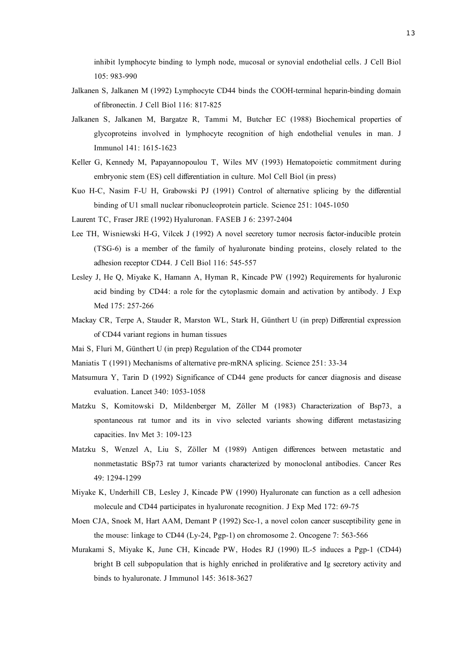inhibit lymphocyte binding to lymph node, mucosal or synovial endothelial cells. J Cell Biol 105: 983-990

- Jalkanen S, Jalkanen M (1992) Lymphocyte CD44 binds the COOH-terminal heparin-binding domain of fibronectin. J Cell Biol 116: 817-825
- Jalkanen S, Jalkanen M, Bargatze R, Tammi M, Butcher EC (1988) Biochemical properties of glycoproteins involved in lymphocyte recognition of high endothelial venules in man. J Immunol 141: 1615-1623
- Keller G, Kennedy M, Papayannopoulou T, Wiles MV (1993) Hematopoietic commitment during embryonic stem (ES) cell differentiation in culture. Mol Cell Biol (in press)
- Kuo H-C, Nasim F-U H, Grabowski PJ (1991) Control of alternative splicing by the differential binding of U1 small nuclear ribonucleoprotein particle. Science 251: 1045-1050
- Laurent TC, Fraser JRE (1992) Hyaluronan. FASEB J 6: 2397-2404
- Lee TH, Wisniewski H-G, Vilcek J (1992) A novel secretory tumor necrosis factor-inducible protein (TSG-6) is a member of the family of hyaluronate binding proteins, closely related to the adhesion receptor CD44. J Cell Biol 116: 545-557
- Lesley J, He Q, Miyake K, Hamann A, Hyman R, Kincade PW (1992) Requirements for hyaluronic acid binding by CD44: a role for the cytoplasmic domain and activation by antibody. J Exp Med 175: 257-266
- Mackay CR, Terpe A, Stauder R, Marston WL, Stark H, Günthert U (in prep) Differential expression of CD44 variant regions in human tissues
- Mai S, Fluri M, Günthert U (in prep) Regulation of the CD44 promoter
- Maniatis T (1991) Mechanisms of alternative pre-mRNA splicing. Science 251: 33-34
- Matsumura Y, Tarin D (1992) Significance of CD44 gene products for cancer diagnosis and disease evaluation. Lancet 340: 1053-1058
- Matzku S, Komitowski D, Mildenberger M, Zöller M (1983) Characterization of Bsp73, a spontaneous rat tumor and its in vivo selected variants showing different metastasizing capacities. Inv Met 3: 109-123
- Matzku S, Wenzel A, Liu S, Zöller M (1989) Antigen differences between metastatic and nonmetastatic BSp73 rat tumor variants characterized by monoclonal antibodies. Cancer Res 49: 1294-1299
- Miyake K, Underhill CB, Lesley J, Kincade PW (1990) Hyaluronate can function as a cell adhesion molecule and CD44 participates in hyaluronate recognition. J Exp Med 172: 69-75
- Moen CJA, Snoek M, Hart AAM, Demant P (1992) Scc-1, a novel colon cancer susceptibility gene in the mouse: linkage to CD44 (Ly-24, Pgp-1) on chromosome 2. Oncogene 7: 563-566
- Murakami S, Miyake K, June CH, Kincade PW, Hodes RJ (1990) IL-5 induces a Pgp-1 (CD44) bright B cell subpopulation that is highly enriched in proliferative and Ig secretory activity and binds to hyaluronate. J Immunol 145: 3618-3627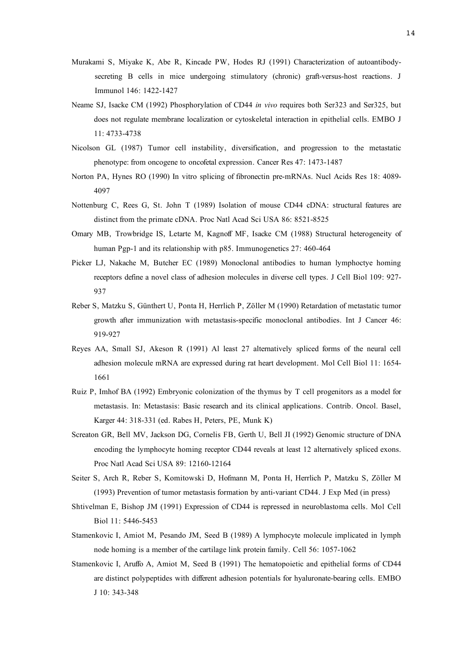- Murakami S, Miyake K, Abe R, Kincade PW, Hodes RJ (1991) Characterization of autoantibodysecreting B cells in mice undergoing stimulatory (chronic) graft-versus-host reactions. J Immunol 146: 1422-1427
- Neame SJ, Isacke CM (1992) Phosphorylation of CD44 *in vivo* requires both Ser323 and Ser325, but does not regulate membrane localization or cytoskeletal interaction in epithelial cells. EMBO J 11: 4733-4738
- Nicolson GL (1987) Tumor cell instability, diversification, and progression to the metastatic phenotype: from oncogene to oncofetal expression. Cancer Res 47: 1473-1487
- Norton PA, Hynes RO (1990) In vitro splicing of fibronectin pre-mRNAs. Nucl Acids Res 18: 4089- 4097
- Nottenburg C, Rees G, St. John T (1989) Isolation of mouse CD44 cDNA: structural features are distinct from the primate cDNA. Proc Natl Acad Sci USA 86: 8521-8525
- Omary MB, Trowbridge IS, Letarte M, Kagnoff MF, Isacke CM (1988) Structural heterogeneity of human Pgp-1 and its relationship with p85. Immunogenetics 27: 460-464
- Picker LJ, Nakache M, Butcher EC (1989) Monoclonal antibodies to human lymphoctye homing receptors define a novel class of adhesion molecules in diverse cell types. J Cell Biol 109: 927- 937
- Reber S, Matzku S, Günthert U, Ponta H, Herrlich P, Zöller M (1990) Retardation of metastatic tumor growth after immunization with metastasis-specific monoclonal antibodies. Int J Cancer 46: 919-927
- Reyes AA, Small SJ, Akeson R (1991) Al least 27 alternatively spliced forms of the neural cell adhesion molecule mRNA are expressed during rat heart development. Mol Cell Biol 11: 1654- 1661
- Ruiz P, Imhof BA (1992) Embryonic colonization of the thymus by T cell progenitors as a model for metastasis. In: Metastasis: Basic research and its clinical applications. Contrib. Oncol. Basel, Karger 44: 318-331 (ed. Rabes H, Peters, PE, Munk K)
- Screaton GR, Bell MV, Jackson DG, Cornelis FB, Gerth U, Bell JI (1992) Genomic structure of DNA encoding the lymphocyte homing receptor CD44 reveals at least 12 alternatively spliced exons. Proc Natl Acad Sci USA 89: 12160-12164
- Seiter S, Arch R, Reber S, Komitowski D, Hofmann M, Ponta H, Herrlich P, Matzku S, Zöller M (1993) Prevention of tumor metastasis formation by anti-variant CD44. J Exp Med (in press)
- Shtivelman E, Bishop JM (1991) Expression of CD44 is repressed in neuroblastoma cells. Mol Cell Biol 11: 5446-5453
- Stamenkovic I, Amiot M, Pesando JM, Seed B (1989) A lymphocyte molecule implicated in lymph node homing is a member of the cartilage link protein family. Cell 56: 1057-1062
- Stamenkovic I, Aruffo A, Amiot M, Seed B (1991) The hematopoietic and epithelial forms of CD44 are distinct polypeptides with different adhesion potentials for hyaluronate-bearing cells. EMBO J 10: 343-348